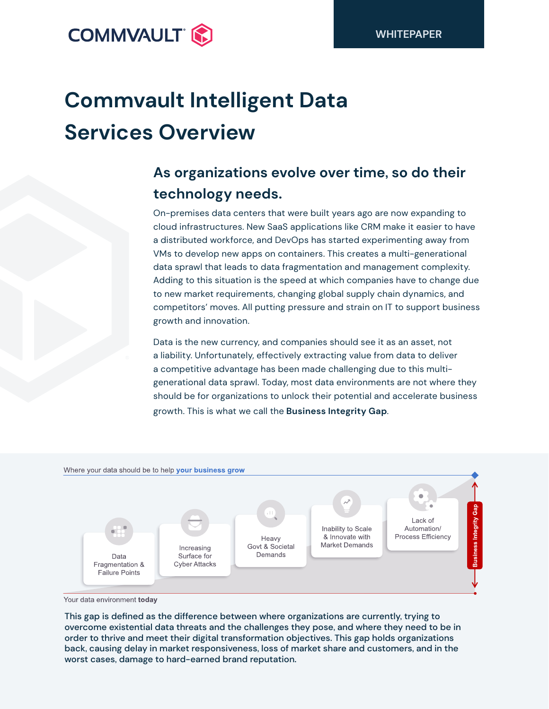

# **Commvault Intelligent Data Services Overview**

# **As organizations evolve over time, so do their technology needs.**

On-premises data centers that were built years ago are now expanding to cloud infrastructures. New SaaS applications like CRM make it easier to have a distributed workforce, and DevOps has started experimenting away from VMs to develop new apps on containers. This creates a multi-generational data sprawl that leads to data fragmentation and management complexity. Adding to this situation is the speed at which companies have to change due to new market requirements, changing global supply chain dynamics, and competitors' moves. All putting pressure and strain on IT to support business growth and innovation.

Data is the new currency, and companies should see it as an asset, not a liability. Unfortunately, effectively extracting value from data to deliver a competitive advantage has been made challenging due to this multigenerational data sprawl. Today, most data environments are not where they should be for organizations to unlock their potential and accelerate business growth. This is what we call the **Business Integrity Gap**.



Your data environment today

This gap is defined as the difference between where organizations are currently, trying to overcome existential data threats and the challenges they pose, and where they need to be in order to thrive and meet their digital transformation objectives. This gap holds organizations back, causing delay in market responsiveness, loss of market share and customers, and in the worst cases, damage to hard-earned brand reputation.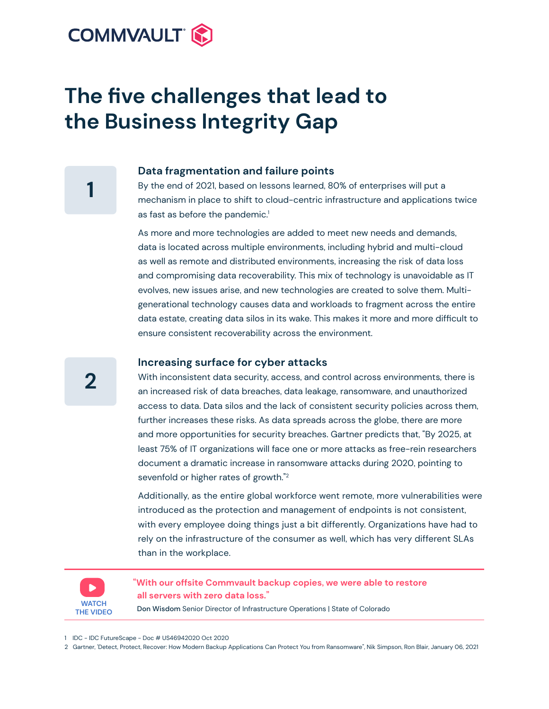

# **The five challenges that lead to the Business Integrity Gap**

#### **Data fragmentation and failure points**

By the end of 2021, based on lessons learned, 80% of enterprises will put a mechanism in place to shift to cloud-centric infrastructure and applications twice as fast as before the pandemic.<sup>1</sup>

As more and more technologies are added to meet new needs and demands, data is located across multiple environments, including hybrid and multi-cloud as well as remote and distributed environments, increasing the risk of data loss and compromising data recoverability. This mix of technology is unavoidable as IT evolves, new issues arise, and new technologies are created to solve them. Multigenerational technology causes data and workloads to fragment across the entire data estate, creating data silos in its wake. This makes it more and more difficult to ensure consistent recoverability across the environment.

#### **Increasing surface for cyber attacks**

With inconsistent data security, access, and control across environments, there is an increased risk of data breaches, data leakage, ransomware, and unauthorized access to data. Data silos and the lack of consistent security policies across them, further increases these risks. As data spreads across the globe, there are more and more opportunities for security breaches. Gartner predicts that, "By 2025, at least 75% of IT organizations will face one or more attacks as free-rein researchers document a dramatic increase in ransomware attacks during 2020, pointing to sevenfold or higher rates of growth."<sup>2</sup>

Additionally, as the entire global workforce went remote, more vulnerabilities were introduced as the protection and management of endpoints is not consistent, with every employee doing things just a bit differently. Organizations have had to rely on the infrastructure of the consumer as well, which has very different SLAs than in the workplace.



**"With our offsite Commvault backup copies, we were able to restore all servers with zero data loss."**

Don Wisdom Senior Director of Infrastructure Operations | State of Colorado

1 IDC - IDC FutureScape - Doc # US46942020 Oct 2020

2 Gartner, 'Detect, Protect, Recover: How Modern Backup Applications Can Protect You from Ransomware", Nik Simpson, Ron Blair, January 06, 2021

**2**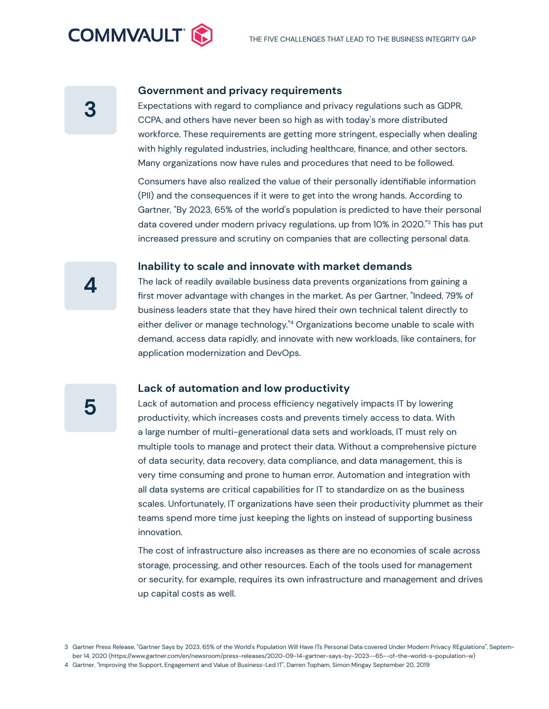

#### **Government and privacy requirements**

Expectations with regard to compliance and privacy regulations such as GDPR, CCPA, and others have never been so high as with today's more distributed workforce. These requirements are getting more stringent, especially when dealing with highly regulated industries, including healthcare, finance, and other sectors. Many organizations now have rules and procedures that need to be followed.

Consumers have also realized the value of their personally identifiable information (PII) and the consequences if it were to get into the wrong hands. According to Gartner, "By 2023, 65% of the world's population is predicted to have their personal data covered under modern privacy regulations, up from 10% in 2020."3 This has put increased pressure and scrutiny on companies that are collecting personal data.

#### **Inability to scale and innovate with market demands**

The lack of readily available business data prevents organizations from gaining a first mover advantage with changes in the market. As per Gartner, "Indeed, 79% of business leaders state that they have hired their own technical talent directly to either deliver or manage technology."<sup>4</sup> Organizations become unable to scale with demand, access data rapidly, and innovate with new workloads, like containers, for application modernization and DevOps.

#### **Lack of automation and low productivity**

Lack of automation and process efficiency negatively impacts IT by lowering productivity, which increases costs and prevents timely access to data. With a large number of multi-generational data sets and workloads, IT must rely on multiple tools to manage and protect their data. Without a comprehensive picture of data security, data recovery, data compliance, and data management, this is very time consuming and prone to human error. Automation and integration with all data systems are critical capabilities for IT to standardize on as the business scales. Unfortunately, IT organizations have seen their productivity plummet as their teams spend more time just keeping the lights on instead of supporting business innovation.

The cost of infrastructure also increases as there are no economies of scale across storage, processing, and other resources. Each of the tools used for management or security, for example, requires its own infrastructure and management and drives up capital costs as well.

**4**

<sup>3</sup> Gartner Press Release, "Gartner Says by 2023, 65% of the World's Population Will Have ITs Personal Data covered Under Modern Privacy REgulations", September 14, 2020 (https://www.gartner.com/en/newsroom/press-releases/2020-09-14-gartner-says-by-2023--65--of-the-world-s-population-w)

<sup>4</sup> Gartner, "Improving the Support, Engagement and Value of Business-Led IT", Darren Topham, Simon Mingay September 20, 2019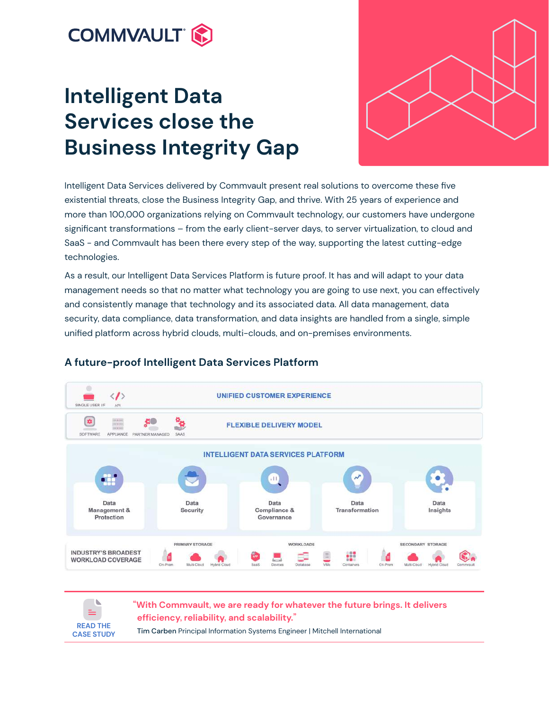

# **Intelligent Data Services close the Business Integrity Gap**



Intelligent Data Services delivered by Commvault present real solutions to overcome these five existential threats, close the Business Integrity Gap, and thrive. With 25 years of experience and more than 100,000 organizations relying on Commvault technology, our customers have undergone significant transformations – from the early client-server days, to server virtualization, to cloud and SaaS - and Commvault has been there every step of the way, supporting the latest cutting-edge technologies.

As a result, our Intelligent Data Services Platform is future proof. It has and will adapt to your data management needs so that no matter what technology you are going to use next, you can effectively and consistently manage that technology and its associated data. All data management, data security, data compliance, data transformation, and data insights are handled from a single, simple unified platform across hybrid clouds, multi-clouds, and on-premises environments.



# **A future-proof Intelligent Data Services Platform**



**"With Commvault, we are ready for whatever the future brings. It delivers efficiency, reliability, and scalability."**

Tim Carben Principal Information Systems Engineer | Mitchell International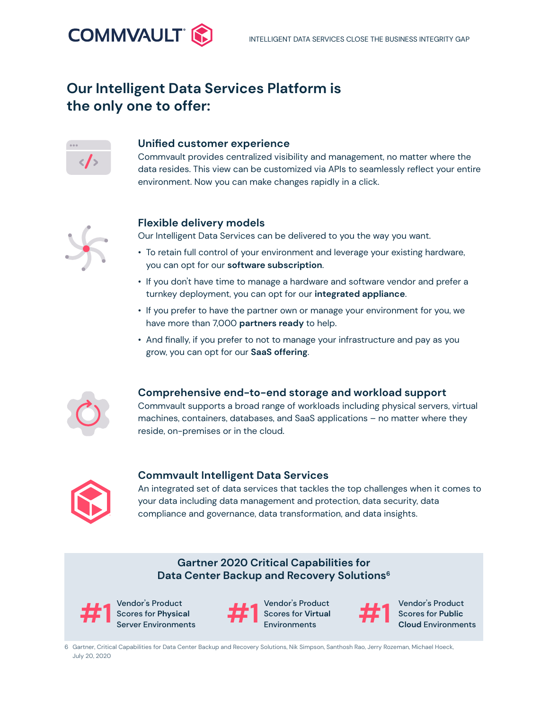# **Our Intelligent Data Services Platform is the only one to offer:**



**COMMVAULT**\*

#### **Unified customer experience**

Commvault provides centralized visibility and management, no matter where the data resides. This view can be customized via APIs to seamlessly reflect your entire environment. Now you can make changes rapidly in a click.



## **Flexible delivery models**

Our Intelligent Data Services can be delivered to you the way you want.

- To retain full control of your environment and leverage your existing hardware, you can opt for our **software subscription**.
- If you don't have time to manage a hardware and software vendor and prefer a turnkey deployment, you can opt for our **integrated appliance**.
- If you prefer to have the partner own or manage your environment for you, we have more than 7,000 **partners ready** to help.
- And finally, if you prefer to not to manage your infrastructure and pay as you grow, you can opt for our **SaaS offering**.



## **Comprehensive end-to-end storage and workload support**

Commvault supports a broad range of workloads including physical servers, virtual machines, containers, databases, and SaaS applications – no matter where they reside, on-premises or in the cloud.



## **Commvault Intelligent Data Services**

An integrated set of data services that tackles the top challenges when it comes to your data including data management and protection, data security, data compliance and governance, data transformation, and data insights.

# **Gartner 2020 Critical Capabilities for Data Center Backup and Recovery Solutions<sup>6</sup>**



Vendor's Product Scores for **Physical** Server Environments



Vendor's Product Scores for **Virtual Environments #1** Scores for Physical **11 Example 1 Cloud** Environments Cloud Environments<br> **Example 20 Cloud Environments** Environments Cloud Environments  $#1$   $\frac{1}{2}$   $\frac{1}{2}$   $\frac{1}{2}$   $\frac{1}{2}$   $\frac{1}{2}$   $\frac{1}{2}$   $\frac{1}{2}$   $\frac{1}{2}$   $\frac{1}{2}$   $\frac{1}{2}$   $\frac{1}{2}$   $\frac{1}{2}$   $\frac{1}{2}$   $\frac{1}{2}$   $\frac{1}{2}$   $\frac{1}{2}$   $\frac{1}{2}$   $\frac{1}{2}$   $\frac{1}{2}$   $\frac{1}{2}$   $\frac{1}{2}$   $\frac{1}{$ 



Vendor's Product

6 Gartner, Critical Capabilities for Data Center Backup and Recovery Solutions, Nik Simpson, Santhosh Rao, Jerry Rozeman, Michael Hoeck, July 20, 2020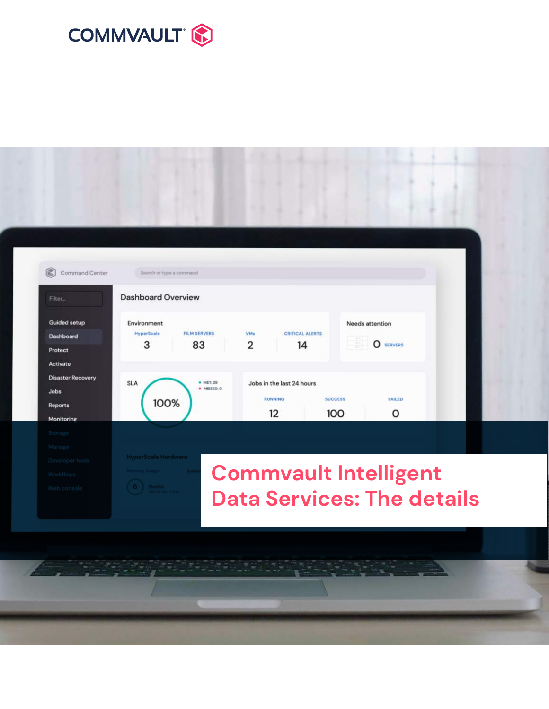



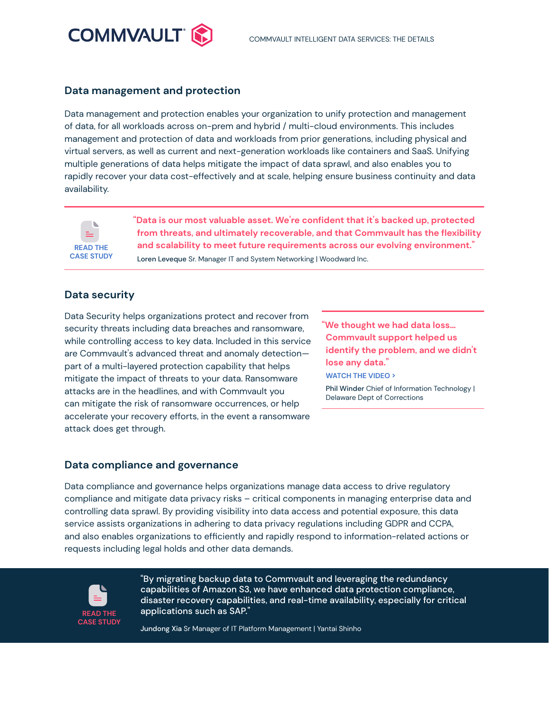

#### **Data management and protection**

Data management and protection enables your organization to unify protection and management of data, for all workloads across on-prem and hybrid / multi-cloud environments. This includes management and protection of data and workloads from prior generations, including physical and virtual servers, as well as current and next-generation workloads like containers and SaaS. Unifying multiple generations of data helps mitigate the impact of data sprawl, and also enables you to rapidly recover your data cost-effectively and at scale, helping ensure business continuity and data availability.



**"Data is our most valuable asset. We're confident that it's backed up, protected from threats, and ultimately recoverable, and that Commvault has the flexibility and scalability to meet future requirements across our evolving environment."** Loren Leveque Sr. Manager IT and System Networking | Woodward Inc.

### **Data security**

Data Security helps organizations protect and recover from security threats including data breaches and ransomware, while controlling access to key data. Included in this service are Commvault's advanced threat and anomaly detection part of a multi-layered protection capability that helps mitigate the impact of threats to your data. Ransomware attacks are in the headlines, and with Commvault you can mitigate the risk of ransomware occurrences, or help accelerate your recovery efforts, in the event a ransomware attack does get through.

**"We thought we had data loss… Commvault support helped us [identify the problem, and we didn't](https://www.commvault.com/resources/commvault-customer-champions-delaware-department-of-correction)  lose any data." [WATCH THE VIDEO >](https://www.commvault.com/resources/commvault-customer-champions-delaware-department-of-correction)**

Phil Winder Chief of Information Technology | Delaware Dept of Corrections

#### **Data compliance and governance**

Data compliance and governance helps organizations manage data access to drive regulatory compliance and mitigate data privacy risks – critical components in managing enterprise data and controlling data sprawl. By providing visibility into data access and potential exposure, this data service assists organizations in adhering to data privacy regulations including GDPR and CCPA, and also enables organizations to efficiently and rapidly respond to information-related actions or requests including legal holds and other data demands.



"By migrating backup data to Commvault and leveraging the redundancy capabilities of Amazon S3, we have enhanced data protection compliance, disaster recovery capabilities, and real-time availability, especially for critical applications such as SAP."

Jundong Xia Sr Manager of IT Platform Management | Yantai Shinho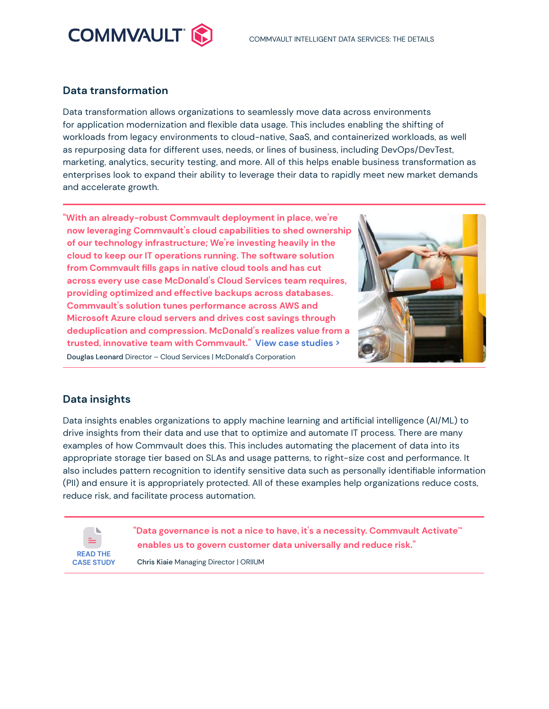

## **Data transformation**

Data transformation allows organizations to seamlessly move data across environments for application modernization and flexible data usage. This includes enabling the shifting of workloads from legacy environments to cloud-native, SaaS, and containerized workloads, as well as repurposing data for different uses, needs, or lines of business, including DevOps/DevTest, marketing, analytics, security testing, and more. All of this helps enable business transformation as enterprises look to expand their ability to leverage their data to rapidly meet new market demands and accelerate growth.

**"With an already-robust Commvault deployment in place, we're now leveraging Commvault's cloud capabilities to shed ownership of our technology infrastructure; We're investing heavily in the cloud to keep our IT operations running. The software solution from Commvault fills gaps in native cloud tools and has cut across every use case McDonald's Cloud Services team requires, providing optimized and effective backups across databases. Commvault's solution tunes performance across AWS and Microsoft Azure cloud servers and drives cost savings through deduplication and compression. McDonald's realizes value from a trusted, innovative team with Commvault." [View case studies](https://www.commvault.com/customers) [>](https://www.commvault.com/customers)** Douglas Leonard Director – Cloud Services | McDonald's Corporation



# **Data insights**

Data insights enables organizations to apply machine learning and artificial intelligence (AI/ML) to drive insights from their data and use that to optimize and automate IT process. There are many examples of how Commvault does this. This includes automating the placement of data into its appropriate storage tier based on SLAs and usage patterns, to right-size cost and performance. It also includes pattern recognition to identify sensitive data such as personally identifiable information (PII) and ensure it is appropriately protected. All of these examples help organizations reduce costs, reduce risk, and facilitate process automation.



**"Data governance is not a nice to have, it's a necessity. Commvault Activate™ enables us to govern customer data universally and reduce risk."**

Chris Kiaie Managing Director | ORIIUM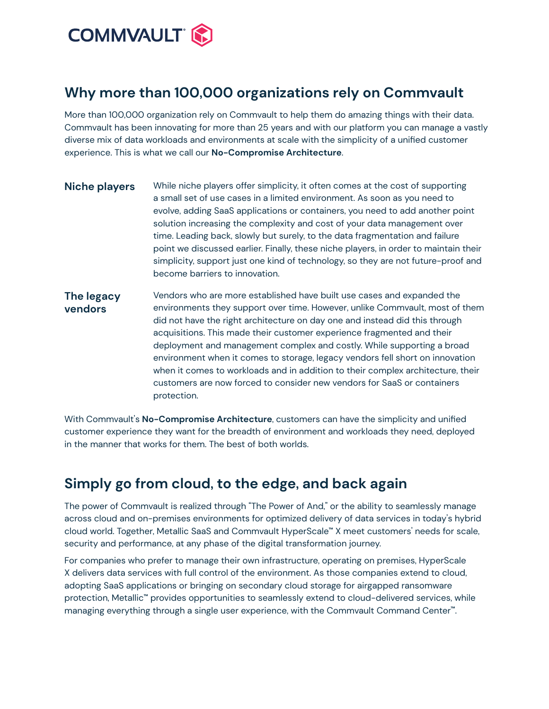

# **Why more than 100,000 organizations rely on Commvault**

More than 100,000 organization rely on Commvault to help them do amazing things with their data. Commvault has been innovating for more than 25 years and with our platform you can manage a vastly diverse mix of data workloads and environments at scale with the simplicity of a unified customer experience. This is what we call our **No-Compromise Architecture**.

- **Niche players** While niche players offer simplicity, it often comes at the cost of supporting a small set of use cases in a limited environment. As soon as you need to evolve, adding SaaS applications or containers, you need to add another point solution increasing the complexity and cost of your data management over time. Leading back, slowly but surely, to the data fragmentation and failure point we discussed earlier. Finally, these niche players, in order to maintain their simplicity, support just one kind of technology, so they are not future-proof and become barriers to innovation.
- **The legacy vendors** Vendors who are more established have built use cases and expanded the environments they support over time. However, unlike Commvault, most of them did not have the right architecture on day one and instead did this through acquisitions. This made their customer experience fragmented and their deployment and management complex and costly. While supporting a broad environment when it comes to storage, legacy vendors fell short on innovation when it comes to workloads and in addition to their complex architecture, their customers are now forced to consider new vendors for SaaS or containers protection.

With Commvault's **No-Compromise Architecture**, customers can have the simplicity and unified customer experience they want for the breadth of environment and workloads they need, deployed in the manner that works for them. The best of both worlds.

# **Simply go from cloud, to the edge, and back again**

The power of Commvault is realized through "The Power of And," or the ability to seamlessly manage across cloud and on-premises environments for optimized delivery of data services in today's hybrid cloud world. Together, Metallic SaaS and Commvault HyperScale**™** X meet customers' needs for scale, security and performance, at any phase of the digital transformation journey.

For companies who prefer to manage their own infrastructure, operating on premises, HyperScale X delivers data services with full control of the environment. As those companies extend to cloud, adopting SaaS applications or bringing on secondary cloud storage for airgapped ransomware protection, Metallic**™** provides opportunities to seamlessly extend to cloud-delivered services, while managing everything through a single user experience, with the Commvault Command Center**™**.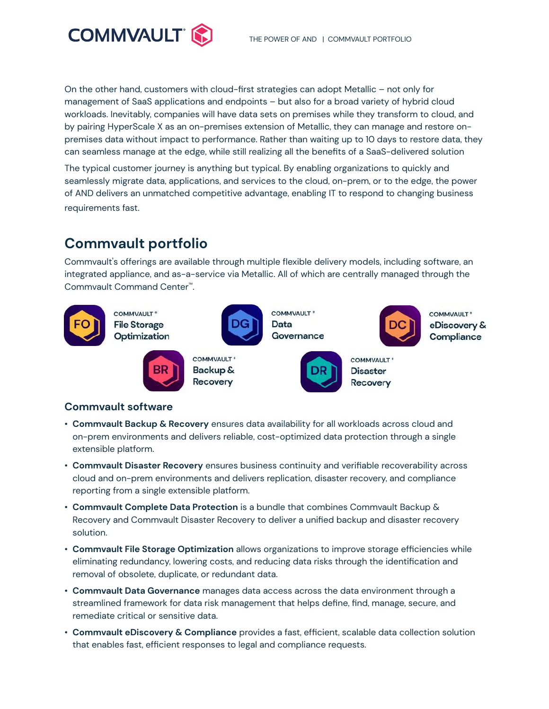

On the other hand, customers with cloud-first strategies can adopt Metallic – not only for management of SaaS applications and endpoints – but also for a broad variety of hybrid cloud workloads. Inevitably, companies will have data sets on premises while they transform to cloud, and by pairing HyperScale X as an on-premises extension of Metallic, they can manage and restore onpremises data without impact to performance. Rather than waiting up to 10 days to restore data, they can seamless manage at the edge, while still realizing all the benefits of a SaaS-delivered solution

The typical customer journey is anything but typical. By enabling organizations to quickly and seamlessly migrate data, applications, and services to the cloud, on-prem, or to the edge, the power of AND delivers an unmatched competitive advantage, enabling IT to respond to changing business requirements fast.

# **Commvault portfolio**

Commvault's offerings are available through multiple flexible delivery models, including software, an integrated appliance, and as-a-service via Metallic. All of which are centrally managed through the Commvault Command Center™.



## **Commvault software**

- **Commvault Backup & Recovery** ensures data availability for all workloads across cloud and on-prem environments and delivers reliable, cost-optimized data protection through a single extensible platform.
- **Commvault Disaster Recovery** ensures business continuity and verifiable recoverability across cloud and on-prem environments and delivers replication, disaster recovery, and compliance reporting from a single extensible platform.
- **Commvault Complete Data Protection** is a bundle that combines Commvault Backup & Recovery and Commvault Disaster Recovery to deliver a unified backup and disaster recovery solution.
- **Commvault File Storage Optimization** allows organizations to improve storage efficiencies while eliminating redundancy, lowering costs, and reducing data risks through the identification and removal of obsolete, duplicate, or redundant data.
- **Commvault Data Governance** manages data access across the data environment through a streamlined framework for data risk management that helps define, find, manage, secure, and remediate critical or sensitive data.
- **Commvault eDiscovery & Compliance** provides a fast, efficient, scalable data collection solution that enables fast, efficient responses to legal and compliance requests.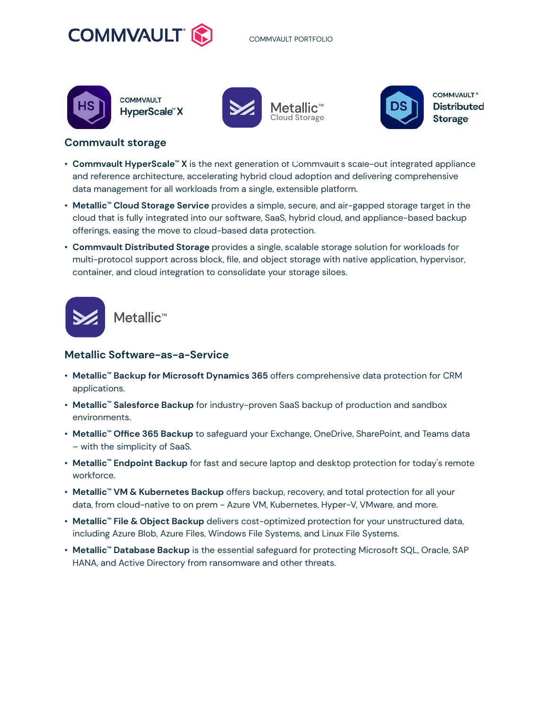



**COMMVAULT HyperScale"X** 







**COMMVAULT**\* **Distributed Storage** 

#### **Commvault storage**

- **Commvault HyperScale<sup>™</sup> X** is the next generation of Commvault s scale-out integrated appliance and reference architecture, accelerating hybrid cloud adoption and delivering comprehensive data management for all workloads from a single, extensible platform.
- **Metallic™ Cloud Storage Service** provides a simple, secure, and air-gapped storage target in the cloud that is fully integrated into our software, SaaS, hybrid cloud, and appliance-based backup offerings, easing the move to cloud-based data protection.
- **Commvault Distributed Storage** provides a single, scalable storage solution for workloads for multi-protocol support across block, file, and object storage with native application, hypervisor, container, and cloud integration to consolidate your storage siloes.



### **Metallic Software-as-a-Service**

- **Metallic™ Backup for Microsoft Dynamics 365** offers comprehensive data protection for CRM applications.
- **Metallic™ Salesforce Backup** for industry-proven SaaS backup of production and sandbox environments.
- **Metallic™ Office 365 Backup** to safeguard your Exchange, OneDrive, SharePoint, and Teams data – with the simplicity of SaaS.
- **Metallic™ Endpoint Backup** for fast and secure laptop and desktop protection for today's remote workforce.
- **Metallic™ VM & Kubernetes Backup** offers backup, recovery, and total protection for all your data, from cloud-native to on prem - Azure VM, Kubernetes, Hyper-V, VMware, and more.
- **Metallic™ File & Object Backup** delivers cost-optimized protection for your unstructured data, including Azure Blob, Azure Files, Windows File Systems, and Linux File Systems.
- **Metallic™ Database Backup** is the essential safeguard for protecting Microsoft SQL, Oracle, SAP HANA, and Active Directory from ransomware and other threats.